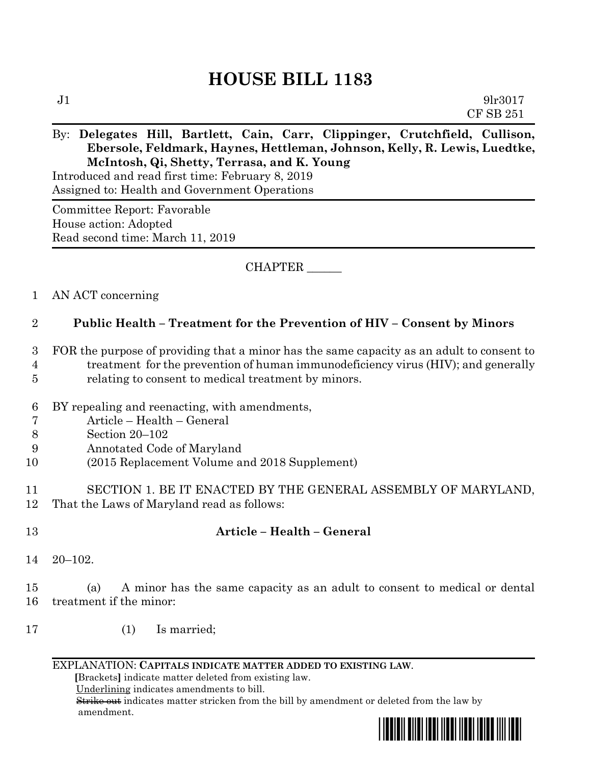# **HOUSE BILL 1183**

### By: **Delegates Hill, Bartlett, Cain, Carr, Clippinger, Crutchfield, Cullison, Ebersole, Feldmark, Haynes, Hettleman, Johnson, Kelly, R. Lewis, Luedtke, McIntosh, Qi, Shetty, Terrasa, and K. Young**

Introduced and read first time: February 8, 2019 Assigned to: Health and Government Operations

Committee Report: Favorable House action: Adopted Read second time: March 11, 2019

CHAPTER \_\_\_\_\_\_

#### 1 AN ACT concerning

#### 2 **Public Health – Treatment for the Prevention of HIV – Consent by Minors**

- 3 FOR the purpose of providing that a minor has the same capacity as an adult to consent to 4 treatment for the prevention of human immunodeficiency virus (HIV); and generally 5 relating to consent to medical treatment by minors.
- 
- 6 BY repealing and reenacting, with amendments,
- 7 Article Health General
- 8 Section 20–102
- 9 Annotated Code of Maryland
- 10 (2015 Replacement Volume and 2018 Supplement)
- 11 SECTION 1. BE IT ENACTED BY THE GENERAL ASSEMBLY OF MARYLAND, 12 That the Laws of Maryland read as follows:
- 

## 13 **Article – Health – General**

14 20–102.

15 (a) A minor has the same capacity as an adult to consent to medical or dental 16 treatment if the minor:

17 (1) Is married;

#### EXPLANATION: **CAPITALS INDICATE MATTER ADDED TO EXISTING LAW**.

 **[**Brackets**]** indicate matter deleted from existing law.

Underlining indicates amendments to bill.

 Strike out indicates matter stricken from the bill by amendment or deleted from the law by amendment.

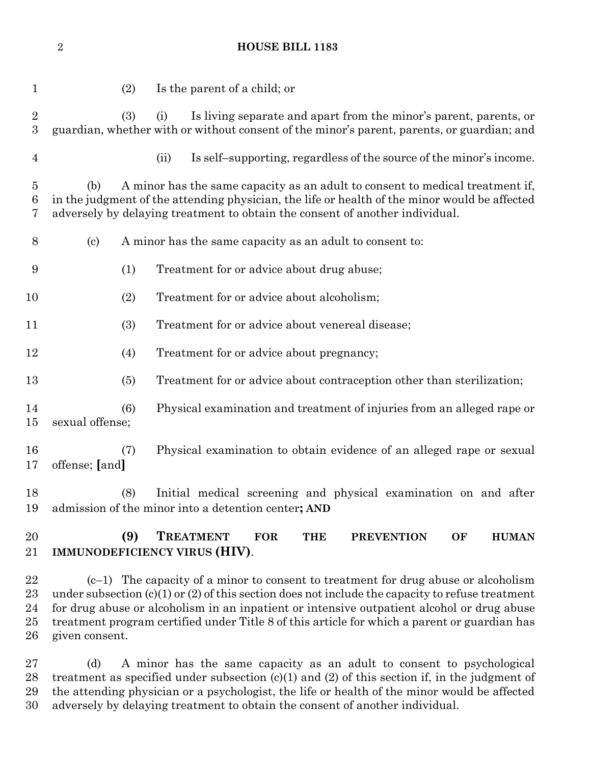|                                | $\sqrt{2}$                 | <b>HOUSE BILL 1183</b>                                                                                                                                                                                                                                                                     |
|--------------------------------|----------------------------|--------------------------------------------------------------------------------------------------------------------------------------------------------------------------------------------------------------------------------------------------------------------------------------------|
| 1                              |                            | (2)<br>Is the parent of a child; or                                                                                                                                                                                                                                                        |
| $\sqrt{2}$<br>$\boldsymbol{3}$ |                            | (3)<br>(i)<br>Is living separate and apart from the minor's parent, parents, or<br>guardian, whether with or without consent of the minor's parent, parents, or guardian; and                                                                                                              |
| $\overline{4}$                 |                            | Is self-supporting, regardless of the source of the minor's income.<br>(ii)                                                                                                                                                                                                                |
| $\overline{5}$<br>6<br>7       | (b)                        | A minor has the same capacity as an adult to consent to medical treatment if,<br>in the judgment of the attending physician, the life or health of the minor would be affected<br>adversely by delaying treatment to obtain the consent of another individual.                             |
| 8                              | $\left( \mathrm{c}\right)$ | A minor has the same capacity as an adult to consent to:                                                                                                                                                                                                                                   |
| 9                              |                            | (1)<br>Treatment for or advice about drug abuse;                                                                                                                                                                                                                                           |
| 10                             |                            | Treatment for or advice about alcoholism;<br>(2)                                                                                                                                                                                                                                           |
| 11                             |                            | Treatment for or advice about venereal disease;<br>(3)                                                                                                                                                                                                                                     |
| 12                             |                            | (4)<br>Treatment for or advice about pregnancy;                                                                                                                                                                                                                                            |
| 13                             |                            | Treatment for or advice about contraception other than sterilization;<br>(5)                                                                                                                                                                                                               |
| 14<br>15                       | sexual offense;            | Physical examination and treatment of injuries from an alleged rape or<br>(6)                                                                                                                                                                                                              |
| 16<br>17                       | offense; [and]             | Physical examination to obtain evidence of an alleged rape or sexual<br>(7)                                                                                                                                                                                                                |
| 18<br>19                       |                            | Initial medical screening and physical examination on and after<br>(8)<br>admission of the minor into a detention center; AND                                                                                                                                                              |
| 20<br>21                       |                            | (9)<br><b>TREATMENT</b><br><b>FOR</b><br><b>THE</b><br><b>PREVENTION</b><br>OF<br><b>HUMAN</b><br>IMMUNODEFICIENCY VIRUS (HIV).                                                                                                                                                            |
| 22<br>23<br>24                 |                            | $(c-1)$ The capacity of a minor to consent to treatment for drug abuse or alcoholism<br>under subsection $(c)(1)$ or $(2)$ of this section does not include the capacity to refuse treatment<br>for drug abuse or alcoholism in an inpatient or intensive outpatient alcohol or drug abuse |

 (d) A minor has the same capacity as an adult to consent to psychological treatment as specified under subsection (c)(1) and (2) of this section if, in the judgment of the attending physician or a psychologist, the life or health of the minor would be affected adversely by delaying treatment to obtain the consent of another individual.

treatment program certified under Title 8 of this article for which a parent or guardian has

given consent.